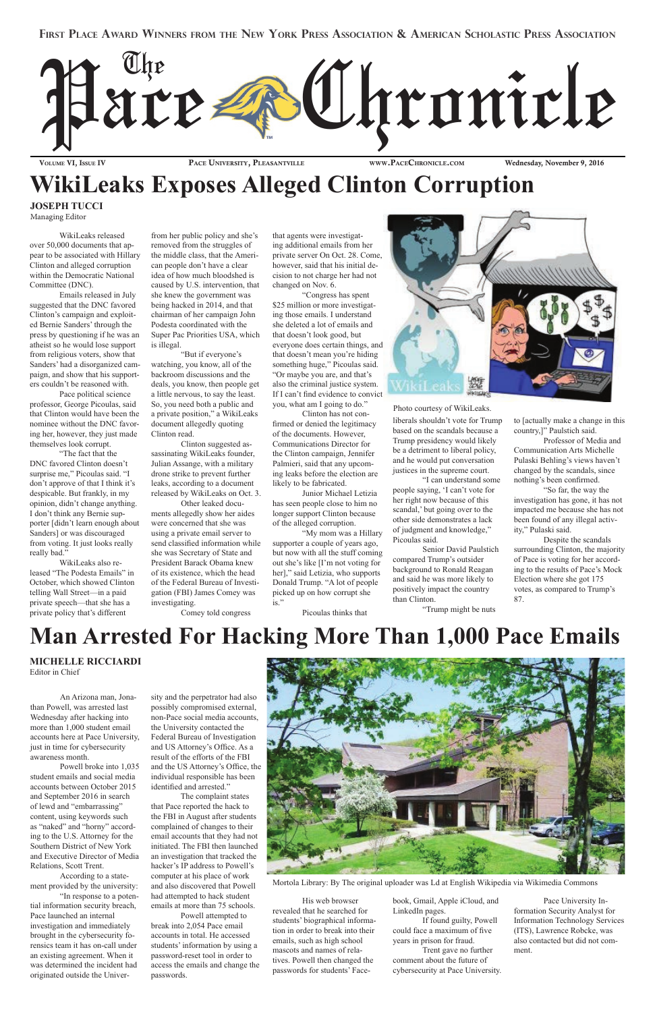

VOLUME VI, ISSUE IV PACE UNIVERSITY, PLEASANTVILLE WWW.PACECHRONICLE.COM Wednesday, November 9, 2016

### **WikiLeaks Exposes Alleged Clinton Corruption**

### **JOSEPH TUCCI**

Managing Editor

WikiLeaks released over 50,000 documents that appear to be associated with Hillary Clinton and alleged corruption within the Democratic National Committee (DNC).

Emails released in July suggested that the DNC favored Clinton's campaign and exploited Bernie Sanders' through the press by questioning if he was an atheist so he would lose support from religious voters, show that Sanders' had a disorganized campaign, and show that his supporters couldn't be reasoned with.

Pace political science professor, George Picoulas, said that Clinton would have been the nominee without the DNC favoring her, however, they just made themselves look corrupt.

"The fact that the DNC favored Clinton doesn't surprise me," Picoulas said. "I don't approve of that I think it's despicable. But frankly, in my opinion, didn't change anything. I don't think any Bernie supporter [didn't learn enough about Sanders] or was discouraged from voting. It just looks really really bad."

WikiLeaks also released "The Podesta Emails" in October, which showed Clinton telling Wall Street—in a paid private speech—that she has a private policy that's different

from her public policy and she's removed from the struggles of the middle class, that the American people don't have a clear idea of how much bloodshed is caused by U.S. intervention, that she knew the government was being hacked in 2014, and that chairman of her campaign John Podesta coordinated with the Super Pac Priorities USA, which is illegal.

"But if everyone's watching, you know, all of the backroom discussions and the deals, you know, then people get a little nervous, to say the least. So, you need both a public and a private position," a WikiLeaks document allegedly quoting Clinton read.

Clinton suggested assassinating WikiLeaks founder, Julian Assange, with a military drone strike to prevent further leaks, according to a document released by WikiLeaks on Oct. 3.

Other leaked documents allegedly show her aides were concerned that she was using a private email server to send classified information while she was Secretary of State and President Barack Obama knew of its existence, which the head of the Federal Bureau of Investigation (FBI) James Comey was investigating.

Comey told congress

that agents were investigating additional emails from her private server On Oct. 28. Come, however, said that his initial decision to not charge her had not changed on Nov. 6.

"Congress has spent \$25 million or more investigating those emails. I understand she deleted a lot of emails and that doesn't look good, but everyone does certain things, and that doesn't mean you're hiding something huge," Picoulas said. "Or maybe you are, and that's also the criminal justice system. If I can't find evidence to convict you, what am I going to do."

Clinton has not confirmed or denied the legitimacy of the documents. However, Communications Director for the Clinton campaign, Jennifer Palmieri, said that any upcoming leaks before the election are likely to be fabricated.

Junior Michael Letizia has seen people close to him no longer support Clinton because of the alleged corruption.

"My mom was a Hillary supporter a couple of years ago, but now with all the stuff coming out she's like [I'm not voting for her]," said Letizia, who supports Donald Trump. "A lot of people picked up on how corrupt she is."



Picoulas thinks that

Photo courtesy of WikiLeaks. liberals shouldn't vote for Trump based on the scandals because a Trump presidency would likely be a detriment to liberal policy, and he would put conversation justices in the supreme court.

"I can understand some people saying, 'I can't vote for her right now because of this scandal,' but going over to the other side demonstrates a lack of judgment and knowledge," Picoulas said.

Senior David Paulstich compared Trump's outsider background to Ronald Reagan and said he was more likely to positively impact the country than Clinton.

"Trump might be nuts

to [actually make a change in this country,]" Paulstich said.

Professor of Media and Communication Arts Michelle Pulaski Behling's views haven't changed by the scandals, since nothing's been confirmed.

"So far, the way the investigation has gone, it has not impacted me because she has not been found of any illegal activity," Pulaski said.

Despite the scandals surrounding Clinton, the majority of Pace is voting for her according to the results of Pace's Mock Election where she got 175 votes, as compared to Trump's 87.

### **Man Arrested For Hacking More Than 1,000 Pace Emails**

An Arizona man, Jonathan Powell, was arrested last Wednesday after hacking into more than 1,000 student email accounts here at Pace University,

just in time for cybersecurity awareness month.

Powell broke into 1,035 student emails and social media accounts between October 2015 and September 2016 in search of lewd and "embarrassing" content, using keywords such as "naked" and "horny" according to the U.S. Attorney for the Southern District of New York and Executive Director of Media Relations, Scott Trent.

According to a statement provided by the university: "In response to a potential information security breach, Pace launched an internal investigation and immediately brought in the cybersecurity forensics team it has on-call under an existing agreement. When it was determined the incident had originated outside the Univer-

sity and the perpetrator had also possibly compromised external, non-Pace social media accounts, the University contacted the Federal Bureau of Investigation and US Attorney's Office. As a result of the efforts of the FBI and the US Attorney's Office, the individual responsible has been identified and arrested." The complaint states that Pace reported the hack to the FBI in August after students complained of changes to their email accounts that they had not initiated. The FBI then launched an investigation that tracked the hacker's IP address to Powell's computer at his place of work and also discovered that Powell had attempted to hack student emails at more than 75 schools.



Powell attempted to break into 2,054 Pace email accounts in total. He accessed students' information by using a password-reset tool in order to access the emails and change the passwords.

His web browser revealed that he searched for students' biographical information in order to break into their emails, such as high school mascots and names of relatives. Powell then changed the passwords for students' Facebook, Gmail, Apple iCloud, and LinkedIn pages.

If found guilty, Powell could face a maximum of five years in prison for fraud.

Trent gave no further comment about the future of cybersecurity at Pace University.

Pace University Information Security Analyst for Information Technology Services (ITS), Lawrence Robcke, was also contacted but did not comment.

#### **MICHELLE RICCIARDI**

Editor in Chief

Mortola Library: By The original uploader was Ld at English Wikipedia via Wikimedia Commons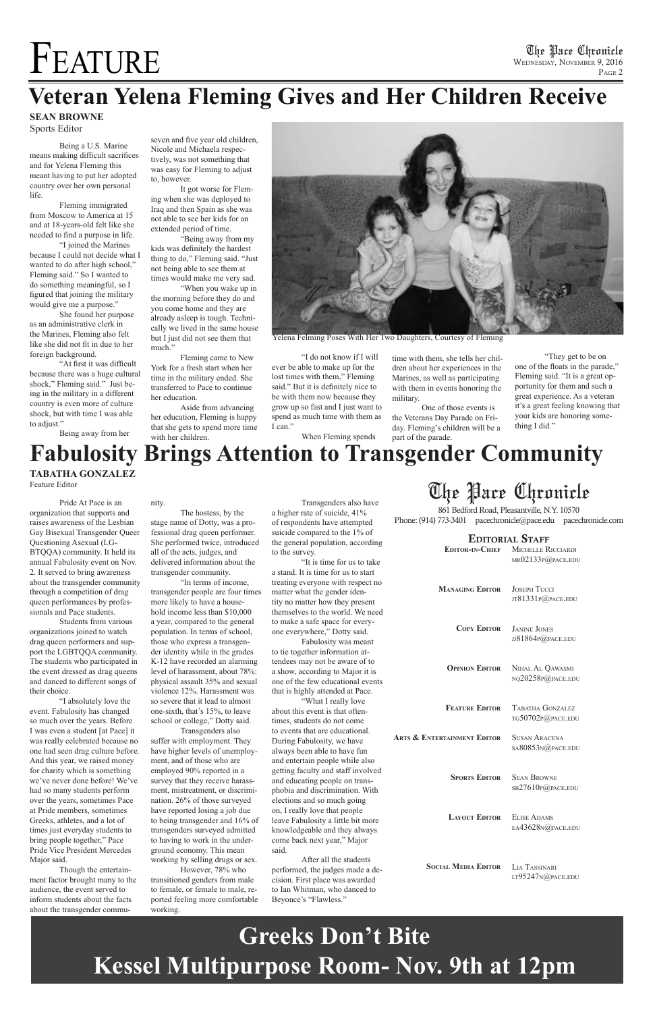# FEATURE

### **Veteran Yelena Fleming Gives and Her Children Receive**

Being a U.S. Marine means making difficult sacrifices and for Yelena Fleming this meant having to put her adopted country over her own personal life.

Fleming immigrated from Moscow to America at 15 and at 18-years-old felt like she needed to find a purpose in life.

"I joined the Marines because I could not decide what I wanted to do after high school," Fleming said." So I wanted to do something meaningful, so I figured that joining the military would give me a purpose."

She found her purpose as an administrative clerk in the Marines, Fleming also felt like she did not fit in due to her foreign background.

"At first it was difficult because there was a huge cultural shock," Fleming said." Just being in the military in a different country is even more of culture shock, but with time I was able to adjust."

Being away from her

seven and five year old children, Nicole and Michaela respectively, was not something that was easy for Fleming to adjust to, however.

It got worse for Flem-

ing when she was deployed to Iraq and then Spain as she was not able to see her kids for an extended period of time.

"Being away from my

kids was definitely the hardest thing to do," Fleming said. "Just not being able to see them at times would make me very sad.

"When you wake up in the morning before they do and you come home and they are already asleep is tough. Technibut I just did not see them that much."

cally we lived in the same house

Fleming came to New

York for a fresh start when her time in the military ended. She transferred to Pace to continue her education.

Aside from advancing her education, Fleming is happy that she gets to spend more time with her children.

"I do not know if I will ever be able to make up for the lost times with them," Fleming said." But it is definitely nice to be with them now because they grow up so fast and I just want to spend as much time with them as I can."

When Fleming spends

time with them, she tells her children about her experiences in the Marines, as well as participating with them in events honoring the military.

One of those events is the Veterans Day Parade on Friday. Fleming's children will be a part of the parade.

"They get to be on one of the floats in the parade," Fleming said. "It is a great opportunity for them and such a great experience. As a veteran it's a great feeling knowing that your kids are honoring something I did."



Yelena Felming Poses With Her Two Daughters, Courtesy of Fleming

Pride At Pace is an organization that supports and raises awareness of the Lesbian Gay Bisexual Transgender Queer Questioning Asexual (LG-BTQQA) community. It held its annual Fabulosity event on Nov. 2. It served to bring awareness about the transgender community through a competition of drag queen performances by professionals and Pace students.

Students from various organizations joined to watch drag queen performers and support the LGBTQQA community. The students who participated in the event dressed as drag queens and danced to different songs of their choice.

861 Bedford Road, Pleasantville, N.Y. 10570 Phone: (914) 773-3401 pacechronicle@pace.edu pacechronicle.com

#### EDITORIAL STAFF

Sean Browne sb27610p@pace.edu **SPORTS EDITOR** 

"I absolutely love the event. Fabulosity has changed so much over the years. Before I was even a student [at Pace] it was really celebrated because no one had seen drag culture before. And this year, we raised money for charity which is something we've never done before! We've had so many students perform over the years, sometimes Pace at Pride members, sometimes Greeks, athletes, and a lot of times just everyday students to bring people together," Pace Pride Vice President Mercedes Major said.

Though the entertainment factor brought many to the audience, the event served to inform students about the facts about the transgender commu-

#### nity.

The hostess, by the stage name of Dotty, was a professional drag queen performer. She performed twice, introduced all of the acts, judges, and delivered information about the transgender community.

"In terms of income, transgender people are four times more likely to have a household income less than \$10,000 a year, compared to the general population. In terms of school, those who express a transgender identity while in the grades K-12 have recorded an alarming level of harassment, about 78%: physical assault 35% and sexual violence 12%. Harassment was so severe that it lead to almost one-sixth, that's 15%, to leave school or college," Dotty said.

### **Fabulosity Brings Attention to Transgender Community TABATHA GONZALEZ**

Transgenders also suffer with employment. They have higher levels of unemployment, and of those who are employed 90% reported in a survey that they receive harassment, mistreatment, or discrimination. 26% of those surveyed have reported losing a job due to being transgender and 16% of transgenders surveyed admitted to having to work in the underground economy. This mean working by selling drugs or sex.

However, 78% who transitioned genders from male to female, or female to male, reported feeling more comfortable working.

Transgenders also have a higher rate of suicide, 41% of respondents have attempted suicide compared to the 1% of the general population, according to the survey.

"It is time for us to take a stand. It is time for us to start treating everyone with respect no matter what the gender identity no matter how they present themselves to the world. We need to make a safe space for everyone everywhere," Dotty said.

Fabulosity was meant to tie together information attendees may not be aware of to a show, according to Major it is one of the few educational events that is highly attended at Pace.

"What I really love about this event is that oftentimes, students do not come to events that are educational. During Fabulosity, we have always been able to have fun and entertain people while also getting faculty and staff involved and educating people on transphobia and discrimination. With elections and so much going on, I really love that people leave Fabulosity a little bit more knowledgeable and they always come back next year," Major said.

After all the students performed, the judges made a decision. First place was awarded to Ian Whitman, who danced to Beyonce's "Flawless."

#### $sA80853N@PACE.$ EDU

### The Pace Chronicle

| <b>EDITOR-IN-CHIEF</b> | MICHELLE RICCIARDI<br>MR02133P@PACE.EDU                          |
|------------------------|------------------------------------------------------------------|
| <b>MANAGING EDITOR</b> | <b>JOSEPH TUCCI</b><br>JT81331P@PACE.EDU                         |
| <b>COPY EDITOR</b>     | <b>JANINE JONES</b><br>$JJ81864P$ <sub><i>Q</i></sub> $PACE.EDU$ |
| <b>OPINION EDITOR</b>  | NIHAL AL QAWASMI<br>NQ20258P@PACE.EDU                            |
| <b>FEATURE EDITOR</b>  | TABATHA GONZALEZ<br>TG50702P@PACE.EDU                            |

Arts & Entertainment Editor Susan Aracena

Elise Adams ea43628n@pace.edu **Layout Editor**

Lia Tassinari lt95247n@pace.edu **Social Media Editor**

Feature Editor

#### **SEAN BROWNE**

Sports Editor

### **Greeks Don't Bite Kessel Multipurpose Room- Nov. 9th at 12pm**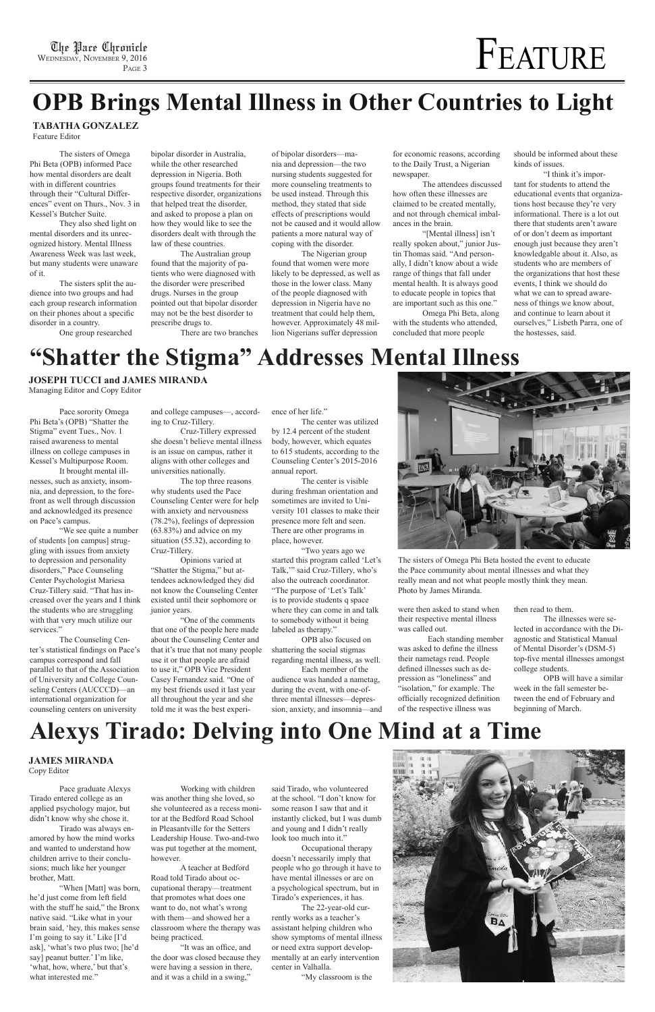## FEATURE

## **OPB Brings Mental Illness in Other Countries to Light**

#### **TABATHA GONZALEZ**

Feature Editor

### **"Shatter the Stigma" Addresses Mental Illness**

"We see quite a number of students [on campus] struggling with issues from anxiety to depression and personality disorders," Pace Counseling Center Psychologist Mariesa Cruz-Tillery said. "That has increased over the years and I think the students who are struggling with that very much utilize our services."

Pace sorority Omega Phi Beta's (OPB) "Shatter the Stigma" event Tues., Nov. 1 raised awareness to mental illness on college campuses in Kessel's Multipurpose Room.

It brought mental illnesses, such as anxiety, insomnia, and depression, to the forefront as well through discussion and acknowledged its presence on Pace's campus.

The Counseling Center's statistical findings on Pace's campus correspond and fall parallel to that of the Association of University and College Counseling Centers (AUCCCD)—an international organization for counseling centers on university

ence of her life."

The center was utilized by 12.4 percent of the student body, however, which equates to 615 students, according to the Counseling Center's 2015-2016 annual report.

The center is visible during freshman orientation and sometimes are invited to University 101 classes to make their presence more felt and seen. There are other programs in place, however.

"Two years ago we started this program called 'Let's Talk,'" said Cruz-Tillery, who's also the outreach coordinator. "The purpose of 'Let's Talk' is to provide students q space where they can come in and talk to somebody without it being labeled as therapy."

OPB also focused on shattering the social stigmas regarding mental illness, as well.

Each member of the audience was handed a nametag, during the event, with one-ofthree mental illnesses—depression, anxiety, and insomnia—and



and college campuses—, according to Cruz-Tillery.

Cruz-Tillery expressed she doesn't believe mental illness is an issue on campus, rather it aligns with other colleges and universities nationally.

The top three reasons why students used the Pace Counseling Center were for help with anxiety and nervousness (78.2%), feelings of depression (63.83%) and advice on my situation (55.32), according to Cruz-Tillery.

Opinions varied at "Shatter the Stigma," but attendees acknowledged they did not know the Counseling Center existed until their sophomore or junior years.

"One of the comments that one of the people here made about the Counseling Center and that it's true that not many people use it or that people are afraid to use it," OPB Vice President Casey Fernandez said. "One of my best friends used it last year all throughout the year and she told me it was the best experiThe sisters of Omega Phi Beta hosted the event to educate the Pace community about mental illnesses and what they really mean and not what people mostly think they mean. Photo by James Miranda.

The sisters of Omega Phi Beta (OPB) informed Pace how mental disorders are dealt with in different countries through their "Cultural Differences" event on Thurs., Nov. 3 in Kessel's Butcher Suite.

They also shed light on mental disorders and its unrecognized history. Mental Illness Awareness Week was last week, but many students were unaware of it.

The sisters split the audience into two groups and had each group research information on their phones about a specific disorder in a country.

One group researched

bipolar disorder in Australia, while the other researched depression in Nigeria. Both groups found treatments for their respective disorder, organizations that helped treat the disorder, and asked to propose a plan on how they would like to see the disorders dealt with through the law of these countries.

The Australian group found that the majority of patients who were diagnosed with the disorder were prescribed drugs. Nurses in the group pointed out that bipolar disorder may not be the best disorder to prescribe drugs to. There are two branches of bipolar disorders—mania and depression—the two nursing students suggested for more counseling treatments to be used instead. Through this method, they stated that side effects of prescriptions would not be caused and it would allow patients a more natural way of coping with the disorder.

The Nigerian group found that women were more likely to be depressed, as well as those in the lower class. Many of the people diagnosed with depression in Nigeria have no treatment that could help them, however. Approximately 48 million Nigerians suffer depression

for economic reasons, according to the Daily Trust, a Nigerian newspaper.

The attendees discussed how often these illnesses are claimed to be created mentally, and not through chemical imbalances in the brain.

"[Mental illness] isn't really spoken about," junior Justin Thomas said. "And personally, I didn't know about a wide range of things that fall under mental health. It is always good to educate people in topics that are important such as this one."

Omega Phi Beta, along with the students who attended, concluded that more people

should be informed about these kinds of issues.

"I think it's important for students to attend the educational events that organizations host because they're very informational. There is a lot out there that students aren't aware of or don't deem as important enough just because they aren't knowledgable about it. Also, as students who are members of the organizations that host these events, I think we should do what we can to spread awareness of things we know about, and continue to learn about it ourselves," Lisbeth Parra, one of the hostesses, said.

were then asked to stand when their respective mental illness was called out.

Each standing member was asked to define the illness their nametags read. People defined illnesses such as depression as "loneliness" and "isolation," for example. The officially recognized definition of the respective illness was

then read to them.

The illnesses were selected in accordance with the Diagnostic and Statistical Manual of Mental Disorder's (DSM-5) top-five mental illnesses amongst college students.

OPB will have a similar week in the fall semester between the end of February and beginning of March.

**JOSEPH TUCCI and JAMES MIRANDA**

Managing Editor and Copy Editor

### **Alexys Tirado: Delving into One Mind at a Time**

Pace graduate Alexys Tirado entered college as an applied psychology major, but didn't know why she chose it.

Tirado was always enamored by how the mind works and wanted to understand how children arrive to their conclusions; much like her younger brother, Matt.

"When [Matt] was born, he'd just come from left field with the stuff he said," the Bronx native said. "Like what in your brain said, 'hey, this makes sense I'm going to say it.' Like [I'd ask], 'what's two plus two; [he'd say] peanut butter.' I'm like, 'what, how, where,' but that's what interested me."

Working with children was another thing she loved, so she volunteered as a recess monitor at the Bedford Road School in Pleasantville for the Setters Leadership House. Two-and-two was put together at the moment, however.

A teacher at Bedford Road told Tirado about occupational therapy—treatment that promotes what does one want to do, not what's wrong with them—and showed her a classroom where the therapy was being practiced.

"It was an office, and the door was closed because they were having a session in there, and it was a child in a swing,"

said Tirado, who volunteered at the school. "I don't know for some reason I saw that and it instantly clicked, but I was dumb and young and I didn't really look too much into it."

Occupational therapy doesn't necessarily imply that people who go through it have to have mental illnesses or are on a psychological spectrum, but in Tirado's experiences, it has.

The 22-year-old currently works as a teacher's assistant helping children who show symptoms of mental illness or need extra support developmentally at an early intervention center in Valhalla.

"My classroom is the



#### **JAMES MIRANDA** Copy Editor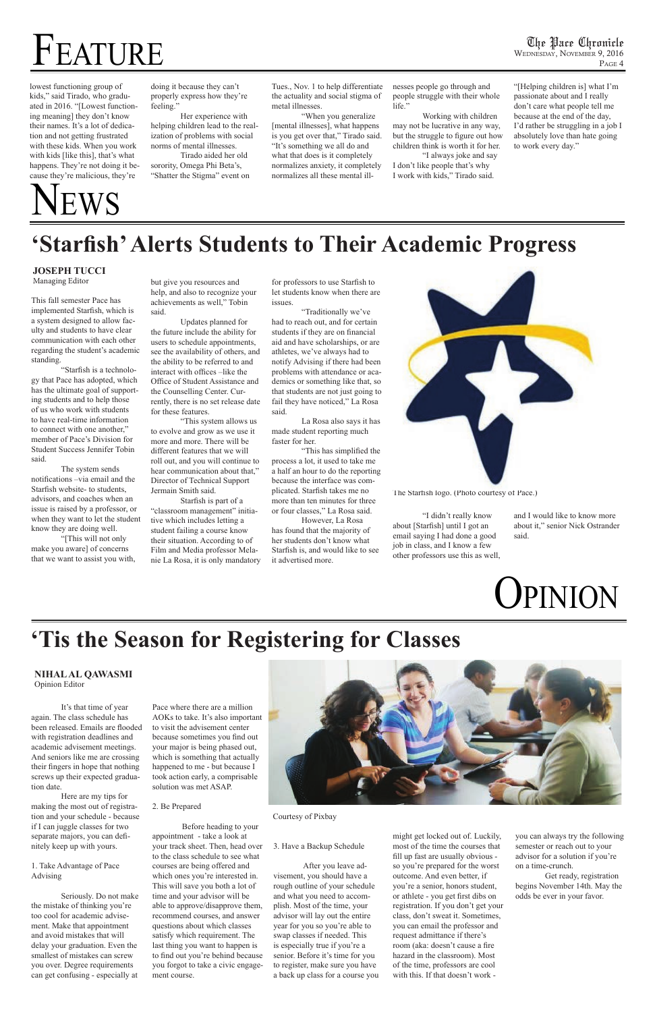# FEATURE

This fall semester Pace has implemented Starfish, which is a system designed to allow faculty and students to have clear communication with each other regarding the student's academic standing.

"Starfish is a technology that Pace has adopted, which has the ultimate goal of supporting students and to help those of us who work with students to have real-time information to connect with one another," member of Pace's Division for Student Success Jennifer Tobin said.

The system sends notifications –via email and the Starfish website- to students, advisors, and coaches when an issue is raised by a professor, or when they want to let the student know they are doing well.

"[This will not only make you aware] of concerns that we want to assist you with, but give you resources and help, and also to recognize your achievements as well," Tobin said.

Updates planned for the future include the ability for users to schedule appointments, see the availability of others, and the ability to be referred to and interact with offices –like the Office of Student Assistance and the Counselling Center. Currently, there is no set release date for these features.

"This system allows us to evolve and grow as we use it more and more. There will be different features that we will roll out, and you will continue to hear communication about that," Director of Technical Support Jermain Smith said.

Starfish is part of a "classroom management" initiative which includes letting a student failing a course know their situation. According to of Film and Media professor Melanie La Rosa, it is only mandatory for professors to use Starfish to let students know when there are issues.

"Traditionally we've had to reach out, and for certain students if they are on financial aid and have scholarships, or are athletes, we've always had to notify Advising if there had been problems with attendance or academics or something like that, so that students are not just going to fail they have noticed," La Rosa said.

La Rosa also says it has made student reporting much faster for her.

"This has simplified the process a lot, it used to take me a half an hour to do the reporting because the interface was complicated. Starfish takes me no more than ten minutes for three or four classes," La Rosa said.

However, La Rosa has found that the majority of her students don't know what Starfish is, and would like to see it advertised more.



"I didn't really know about [Starfish] until I got an email saying I had done a good job in class, and I know a few other professors use this as well,

The Starfish logo. (Photo courtesy of Pace.)

### **'Tis the Season for Registering for Classes**

### **'Starfish' Alerts Students to Their Academic Progress**

and I would like to know more about it," senior Nick Ostrander said.

## News

#### Courtesy of Pixbay

lowest functioning group of kids," said Tirado, who graduated in 2016. "[Lowest functioning meaning] they don't know their names. It's a lot of dedication and not getting frustrated with these kids. When you work with kids [like this], that's what happens. They're not doing it because they're malicious, they're

doing it because they can't properly express how they're feeling."

Her experience with helping children lead to the realization of problems with social norms of mental illnesses.

Tirado aided her old sorority, Omega Phi Beta's, "Shatter the Stigma" event on Tues., Nov. 1 to help differentiate the actuality and social stigma of metal illnesses.

"When you generalize [mental illnesses], what happens is you get over that," Tirado said. "It's something we all do and what that does is it completely normalizes anxiety, it completely normalizes all these mental illnesses people go through and people struggle with their whole life."

Working with children may not be lucrative in any way, but the struggle to figure out how children think is worth it for her.

"I always joke and say I don't like people that's why I work with kids," Tirado said.

"[Helping children is] what I'm passionate about and I really don't care what people tell me because at the end of the day, I'd rather be struggling in a job I absolutely love than hate going to work every day."

#### **JOSEPH TUCCI**  Managing Editor



It's that time of year again. The class schedule has been released. Emails are flooded with registration deadlines and academic advisement meetings. And seniors like me are crossing their fingers in hope that nothing screws up their expected graduation date.

Here are my tips for making the most out of registration and your schedule - because if I can juggle classes for two separate majors, you can definitely keep up with yours.

1. Take Advantage of Pace Advising

Seriously. Do not make the mistake of thinking you're too cool for academic advisement. Make that appointment and avoid mistakes that will delay your graduation. Even the smallest of mistakes can screw you over. Degree requirements can get confusing - especially at

Pace where there are a million AOKs to take. It's also important to visit the advisement center because sometimes you find out your major is being phased out, which is something that actually happened to me - but because I took action early, a comprisable solution was met ASAP.



#### 2. Be Prepared

Before heading to your appointment - take a look at your track sheet. Then, head over to the class schedule to see what courses are being offered and which ones you're interested in. This will save you both a lot of time and your advisor will be able to approve/disapprove them, recommend courses, and answer questions about which classes satisfy which requirement. The last thing you want to happen is to find out you're behind because you forgot to take a civic engagement course.

3. Have a Backup Schedule

After you leave advisement, you should have a rough outline of your schedule and what you need to accomplish. Most of the time, your advisor will lay out the entire year for you so you're able to swap classes if needed. This is especially true if you're a senior. Before it's time for you to register, make sure you have a back up class for a course you might get locked out of. Luckily, most of the time the courses that fill up fast are usually obvious so you're prepared for the worst outcome. And even better, if you're a senior, honors student, or athlete - you get first dibs on registration. If you don't get your class, don't sweat it. Sometimes, you can email the professor and request admittance if there's room (aka: doesn't cause a fire hazard in the classroom). Most of the time, professors are cool with this. If that doesn't work -

you can always try the following semester or reach out to your advisor for a solution if you're on a time-crunch.

Get ready, registration begins November 14th. May the odds be ever in your favor.

**NIHAL AL QAWASMI**  Opinion Editor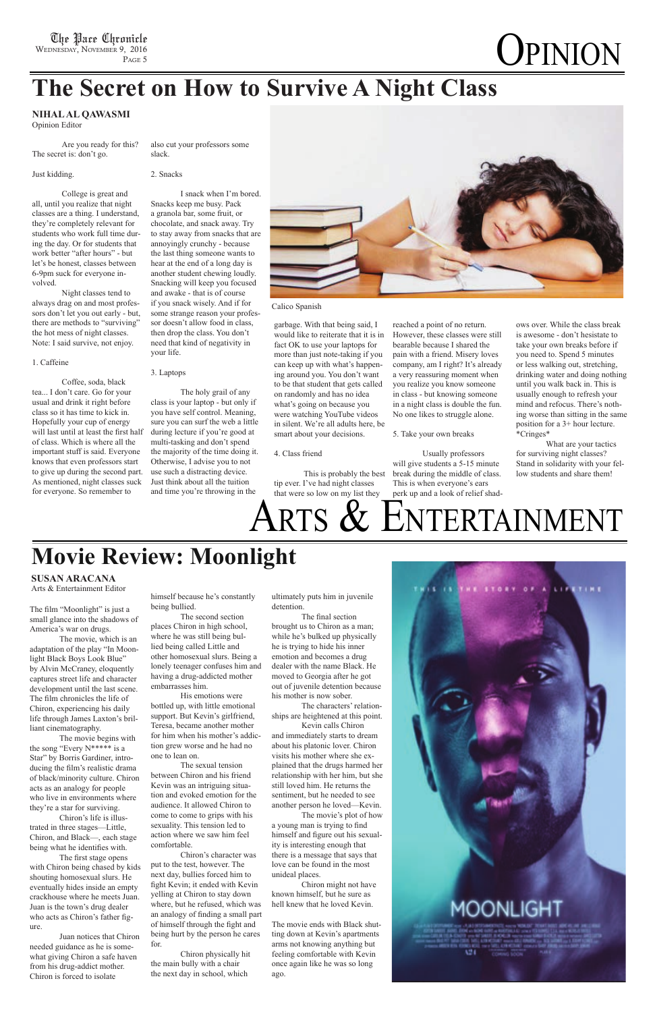## **OPINION**

The film "Moonlight" is just a small glance into the shadows of America's war on drugs.

The movie, which is an adaptation of the play "In Moonlight Black Boys Look Blue" by Alvin McCraney, eloquently captures street life and character development until the last scene. The film chronicles the life of Chiron, experiencing his daily life through James Laxton's brilliant cinematography.

The movie begins with

the song "Every N\*\*\*\*\* is a Star" by Borris Gardiner, introducing the film's realistic drama of black/minority culture. Chiron acts as an analogy for people who live in environments where they're a star for surviving.

Chiron's life is illustrated in three stages—Little, Chiron, and Black—, each stage being what he identifies with.

The first stage opens with Chiron being chased by kids shouting homosexual slurs. He eventually hides inside an empty crackhouse where he meets Juan. Juan is the town's drug dealer who acts as Chiron's father figure.

Juan notices that Chiron needed guidance as he is somewhat giving Chiron a safe haven from his drug-addict mother. Chiron is forced to isolate

himself because he's constantly being bullied.

The second section places Chiron in high school, where he was still being bullied being called Little and other homosexual slurs. Being a lonely teenager confuses him and having a drug-addicted mother embarrasses him.

His emotions were bottled up, with little emotional support. But Kevin's girlfriend, Teresa, became another mother for him when his mother's addiction grew worse and he had no one to lean on.

The sexual tension between Chiron and his friend Kevin was an intriguing situation and evoked emotion for the audience. It allowed Chiron to come to come to grips with his sexuality. This tension led to action where we saw him feel comfortable.

Chiron's character was put to the test, however. The next day, bullies forced him to fight Kevin; it ended with Kevin yelling at Chiron to stay down where, but he refused, which was an analogy of finding a small part of himself through the fight and being hurt by the person he cares for.

Chiron physically hit the main bully with a chair the next day in school, which

#### ultimately puts him in juvenile detention.

The final section brought us to Chiron as a man; while he's bulked up physically he is trying to hide his inner emotion and becomes a drug dealer with the name Black. He moved to Georgia after he got out of juvenile detention because his mother is now sober.

The characters' relationships are heightened at this point.

Kevin calls Chiron and immediately starts to dream about his platonic lover. Chiron visits his mother where she explained that the drugs harmed her relationship with her him, but she still loved him. He returns the sentiment, but he needed to see another person he loved—Kevin. The movie's plot of how a young man is trying to find himself and figure out his sexuality is interesting enough that there is a message that says that love can be found in the most unideal places.



Chiron might not have known himself, but he sure as hell knew that he loved Kevin.

The movie ends with Black shutting down at Kevin's apartments arms not knowing anything but feeling comfortable with Kevin once again like he was so long ago.



### **The Secret on How to Survive A Night Class**

Are you ready for this? The secret is: don't go.

Just kidding.

College is great and all, until you realize that night classes are a thing. I understand, they're completely relevant for students who work full time during the day. Or for students that work better "after hours" - but let's be honest, classes between 6-9pm suck for everyone involved.

Night classes tend to always drag on and most professors don't let you out early - but, there are methods to "surviving" the hot mess of night classes. Note: I said survive, not enjoy.

#### 1. Caffeine

Coffee, soda, black tea... I don't care. Go for your usual and drink it right before class so it has time to kick in. Hopefully your cup of energy will last until at least the first half of class. Which is where all the important stuff is said. Everyone knows that even professors start to give up during the second part. As mentioned, night classes suck for everyone. So remember to

also cut your professors some

slack.

2. Snacks

I snack when I'm bored.

Snacks keep me busy. Pack a granola bar, some fruit, or chocolate, and snack away. Try to stay away from snacks that are annoyingly crunchy - because the last thing someone wants to hear at the end of a long day is another student chewing loudly. Snacking will keep you focused and awake - that is of course if you snack wisely. And if for some strange reason your professor doesn't allow food in class, then drop the class. You don't need that kind of negativity in your life.

#### 3. Laptops

The holy grail of any class is your laptop - but only if you have self control. Meaning, sure you can surf the web a little during lecture if you're good at multi-tasking and don't spend the majority of the time doing it. Otherwise, I advise you to not use such a distracting device. Just think about all the tuition and time you're throwing in the



garbage. With that being said, I would like to reiterate that it is in fact OK to use your laptops for more than just note-taking if you can keep up with what's happening around you. You don't want to be that student that gets called on randomly and has no idea what's going on because you were watching YouTube videos in silent. We're all adults here, be smart about your decisions.

#### 4. Class friend

This is probably the best tip ever. I've had night classes that were so low on my list they

#### Calico Spanish

reached a point of no return. However, these classes were still bearable because I shared the pain with a friend. Misery loves company, am I right? It's already a very reassuring moment when you realize you know someone in class - but knowing someone in a night class is double the fun. No one likes to struggle alone.

#### 5. Take your own breaks

Usually professors will give students a 5-15 minute break during the middle of class. This is when everyone's ears perk up and a look of relief shadows over. While the class break is awesome - don't hesistate to take your own breaks before if you need to. Spend 5 minutes or less walking out, stretching, drinking water and doing nothing until you walk back in. This is usually enough to refresh your mind and refocus. There's nothing worse than sitting in the same position for a 3+ hour lecture. \*Cringes\*

What are your tactics for surviving night classes? Stand in solidarity with your fellow students and share them!

ARTS & ENTERTAINMENT

#### **NIHAL AL QAWASMI**

Opinion Editor

### **Movie Review: Moonlight**

#### **SUSAN ARACANA**

Arts & Entertainment Editor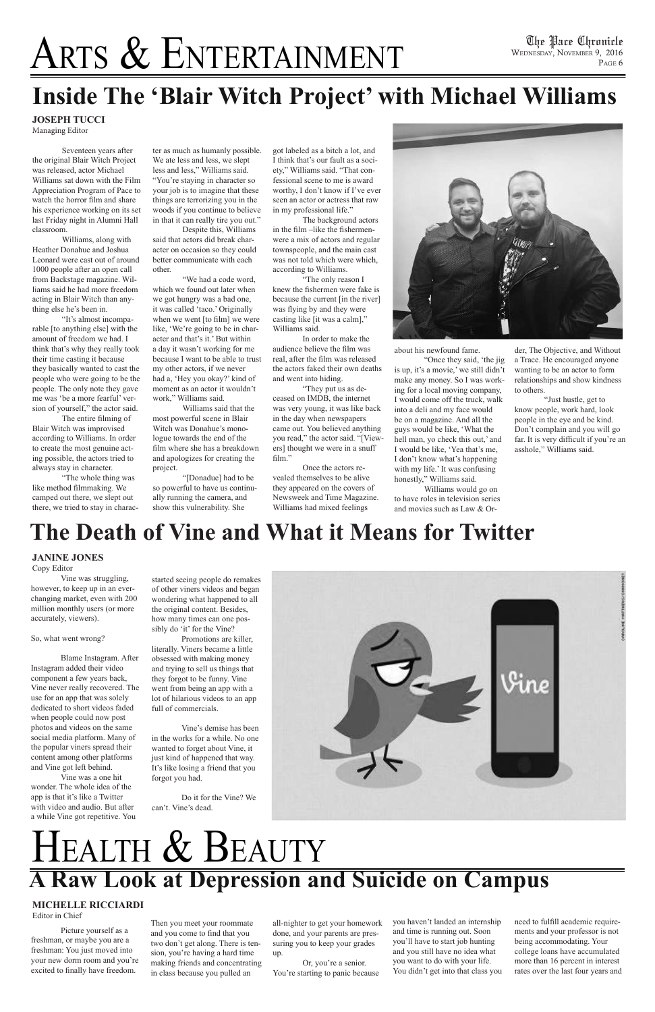# ARTS & ENTERTAINMENT

## **A Raw Look at Depression and Suicide on Campus** HEALTH & BEAUTY

Picture yourself as a freshman, or maybe you are a freshman: You just moved into your new dorm room and you're excited to finally have freedom.

Then you meet your roommate and you come to find that you two don't get along. There is tension, you're having a hard time making friends and concentrating in class because you pulled an

all-nighter to get your homework done, and your parents are pressuring you to keep your grades up.

Or, you're a senior. You're starting to panic because you haven't landed an internship and time is running out. Soon you'll have to start job hunting and you still have no idea what you want to do with your life. You didn't get into that class you

### **The Death of Vine and What it Means for Twitter**

Vine was struggling, however, to keep up in an everchanging market, even with 200 million monthly users (or more accurately, viewers).

So, what went wrong?

Blame Instagram. After Instagram added their video component a few years back, Vine never really recovered. The use for an app that was solely dedicated to short videos faded when people could now post photos and videos on the same social media platform. Many of

the popular viners spread their content among other platforms and Vine got left behind.

Vine was a one hit wonder. The whole idea of the app is that it's like a Twitter with video and audio. But after a while Vine got repetitive. You

started seeing people do remakes of other viners videos and began wondering what happened to all the original content. Besides, how many times can one possibly do 'it' for the Vine?

Promotions are killer, literally. Viners became a little obsessed with making money and trying to sell us things that they forgot to be funny. Vine went from being an app with a lot of hilarious videos to an app full of commercials.

Vine's demise has been in the works for a while. No one



wanted to forget about Vine, it just kind of happened that way. It's like losing a friend that you forgot you had.

Do it for the Vine? We can't. Vine's dead.

#### **JANINE JONES**

Copy Editor

Seventeen years after the original Blair Witch Project was released, actor Michael Williams sat down with the Film Appreciation Program of Pace to watch the horror film and share his experience working on its set last Friday night in Alumni Hall classroom.

Williams, along with Heather Donahue and Joshua Leonard were cast out of around 1000 people after an open call from Backstage magazine. Williams said he had more freedom acting in Blair Witch than anything else he's been in.

"It's almost incomparable [to anything else] with the amount of freedom we had. I think that's why they really took their time casting it because they basically wanted to cast the people who were going to be the people. The only note they gave me was 'be a more fearful' version of yourself," the actor said.

The entire filming of Blair Witch was improvised according to Williams. In order to create the most genuine acting possible, the actors tried to always stay in character.

"The whole thing was like method filmmaking. We camped out there, we slept out there, we tried to stay in character as much as humanly possible. We ate less and less, we slept less and less," Williams said. "You're staying in character so your job is to imagine that these things are terrorizing you in the woods if you continue to believe in that it can really tire you out."

Despite this, Williams said that actors did break character on occasion so they could better communicate with each other.

"We had a code word, which we found out later when we got hungry was a bad one, it was called 'taco.' Originally when we went [to film] we were like, 'We're going to be in character and that's it.' But within a day it wasn't working for me because I want to be able to trust my other actors, if we never had a, 'Hey you okay?' kind of moment as an actor it wouldn't work," Williams said.

Williams said that the most powerful scene in Blair Witch was Donahue's monologue towards the end of the film where she has a breakdown and apologizes for creating the project.

"[Donadue] had to be so powerful to have us continually running the camera, and show this vulnerability. She

got labeled as a bitch a lot, and I think that's our fault as a society," Williams said. "That confessional scene to me is award worthy, I don't know if I've ever seen an actor or actress that raw in my professional life."

The background actors in the film –like the fishermenwere a mix of actors and regular townspeople, and the main cast was not told which were which, according to Williams.

"The only reason I knew the fishermen were fake is because the current [in the river] was flying by and they were casting like [it was a calm]," Williams said.

In order to make the audience believe the film was real, after the film was released the actors faked their own deaths and went into hiding.

"They put us as deceased on IMDB, the internet was very young, it was like back in the day when newspapers came out. You believed anything you read," the actor said. "[Viewers] thought we were in a snuff film."

Once the actors revealed themselves to be alive they appeared on the covers of Newsweek and Time Magazine. Williams had mixed feelings



about his newfound fame.

"Once they said, 'the jig is up, it's a movie,' we still didn't make any money. So I was working for a local moving company, I would come off the truck, walk into a deli and my face would be on a magazine. And all the guys would be like, 'What the hell man, yo check this out,' and I would be like, 'Yea that's me, I don't know what's happening with my life.' It was confusing honestly," Williams said.

Williams would go on to have roles in television series and movies such as Law & Or-

## **Inside The 'Blair Witch Project' with Michael Williams**

need to fulfill academic requirements and your professor is not being accommodating. Your college loans have accumulated more than 16 percent in interest rates over the last four years and

der, The Objective, and Without a Trace. He encouraged anyone wanting to be an actor to form relationships and show kindness to others.

"Just hustle, get to know people, work hard, look people in the eye and be kind. Don't complain and you will go far. It is very difficult if you're an asshole," Williams said.

**JOSEPH TUCCI**  Managing Editor

#### **MICHELLE RICCIARDI**

Editor in Chief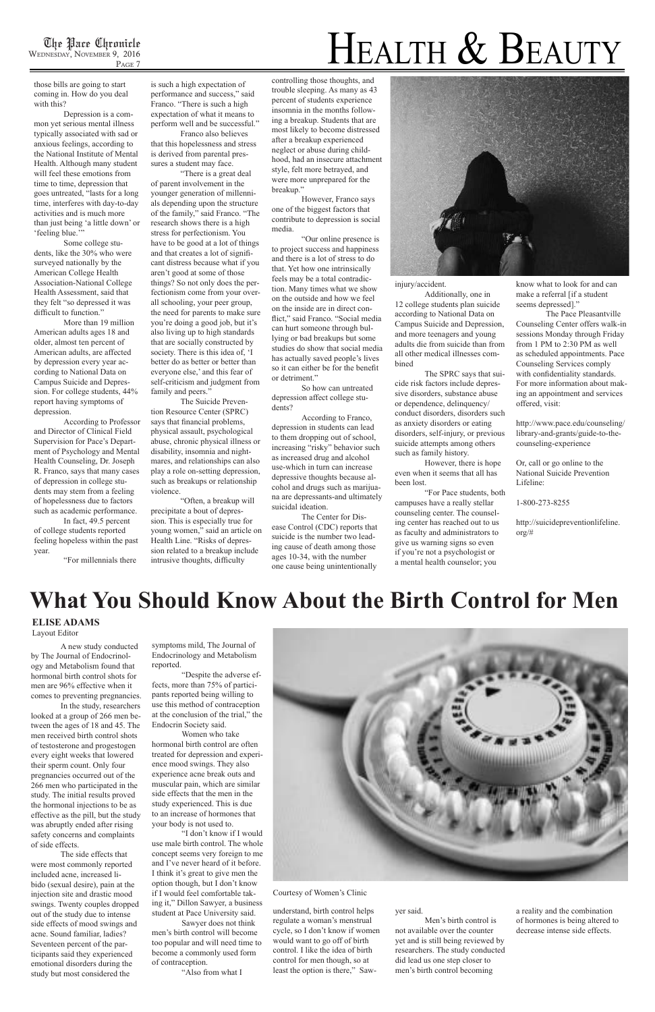

#### Courtesy of Women's Clinic

injury/accident.

Additionally, one in 12 college students plan suicide according to National Data on Campus Suicide and Depression, and more teenagers and young adults die from suicide than from all other medical illnesses combined

The SPRC says that suicide risk factors include depressive disorders, substance abuse or dependence, delinquency/ conduct disorders, disorders such as anxiety disorders or eating disorders, self-injury, or previous suicide attempts among others such as family history.

However, there is hope even when it seems that all has been lost.

"For Pace students, both campuses have a really stellar counseling center. The counseling center has reached out to us as faculty and administrators to give us warning signs so even if you're not a psychologist or a mental health counselor; you

know what to look for and can make a referral [if a student seems depressed]."

The Pace Pleasantville Counseling Center offers walk-in sessions Monday through Friday from 1 PM to 2:30 PM as well as scheduled appointments. Pace Counseling Services comply with confidentiality standards. For more information about making an appointment and services offered, visit:

http://www.pace.edu/counseling/ library-and-grants/guide-to-thecounseling-experience

Or, call or go online to the National Suicide Prevention Lifeline:

1-800-273-8255

http://suicidepreventionlifeline. org/#

#### **ELISE ADAMS** Layout Editor

those bills are going to start coming in. How do you deal with this?

Depression is a common yet serious mental illness typically associated with sad or anxious feelings, according to the National Institute of Mental Health. Although many student will feel these emotions from time to time, depression that goes untreated, "lasts for a long time, interferes with day-to-day activities and is much more than just being 'a little down' or 'feeling blue.'"

Some college students, like the 30% who were surveyed nationally by the American College Health Association-National College Health Assessment, said that they felt "so depressed it was difficult to function."

More than 19 million American adults ages 18 and older, almost ten percent of American adults, are affected by depression every year according to National Data on Campus Suicide and Depression. For college students, 44% report having symptoms of depression.

According to Professor and Director of Clinical Field Supervision for Pace's Department of Psychology and Mental Health Counseling, Dr. Joseph R. Franco, says that many cases of depression in college students may stem from a feeling of hopelessness due to factors such as academic performance.

In fact, 49.5 percent of college students reported feeling hopeless within the past year.

"For millennials there

is such a high expectation of performance and success," said Franco. "There is such a high expectation of what it means to perform well and be successful."

Franco also believes that this hopelessness and stress is derived from parental pressures a student may face.

"There is a great deal of parent involvement in the younger generation of millennials depending upon the structure of the family," said Franco. "The research shows there is a high stress for perfectionism. You have to be good at a lot of things and that creates a lot of significant distress because what if you aren't good at some of those things? So not only does the perfectionism come from your overall schooling, your peer group, the need for parents to make sure you're doing a good job, but it's also living up to high standards that are socially constructed by society. There is this idea of, 'I better do as better or better than everyone else,' and this fear of self-criticism and judgment from family and peers."

The Suicide Prevention Resource Center (SPRC) says that financial problems, physical assault, psychological abuse, chronic physical illness or disability, insomnia and nightmares, and relationships can also play a role on-setting depression, such as breakups or relationship violence.

"Often, a breakup will precipitate a bout of depression. This is especially true for young women," said an article on Health Line. "Risks of depression related to a breakup include intrusive thoughts, difficulty

controlling those thoughts, and trouble sleeping. As many as 43 percent of students experience insomnia in the months following a breakup. Students that are most likely to become distressed after a breakup experienced neglect or abuse during childhood, had an insecure attachment style, felt more betrayed, and were more unprepared for the breakup."

However, Franco says one of the biggest factors that contribute to depression is social media.

"Our online presence is to project success and happiness and there is a lot of stress to do that. Yet how one intrinsically feels may be a total contradiction. Many times what we show on the outside and how we feel on the inside are in direct conflict," said Franco. "Social media can hurt someone through bullying or bad breakups but some studies do show that social media has actually saved people's lives so it can either be for the benefit or detriment."

So how can untreated depression affect college students?

According to Franco, depression in students can lead to them dropping out of school, increasing "risky" behavior such as increased drug and alcohol use-which in turn can increase depressive thoughts because alcohol and drugs such as marijuana are depressants-and ultimately suicidal ideation.

The Center for Disease Control (CDC) reports that suicide is the number two leading cause of death among those ages 10-34, with the number one cause being unintentionally

### **What You Should Know About the Birth Control for Men**

A new study conducted by The Journal of Endocrinology and Metabolism found that hormonal birth control shots for men are 96% effective when it comes to preventing pregnancies.

In the study, researchers looked at a group of 266 men between the ages of 18 and 45. The men received birth control shots of testosterone and progestogen every eight weeks that lowered their sperm count. Only four pregnancies occurred out of the 266 men who participated in the study. The initial results proved the hormonal injections to be as effective as the pill, but the study was abruptly ended after rising safety concerns and complaints of side effects. The side effects that were most commonly reported included acne, increased libido (sexual desire), pain at the injection site and drastic mood swings. Twenty couples dropped out of the study due to intense side effects of mood swings and acne. Sound familiar, ladies? Seventeen percent of the participants said they experienced emotional disorders during the study but most considered the

symptoms mild, The Journal of Endocrinology and Metabolism reported.

"Despite the adverse effects, more than 75% of participants reported being willing to use this method of contraception at the conclusion of the trial," the Endocrin Society said.

Women who take hormonal birth control are often



treated for depression and experience mood swings. They also experience acne break outs and muscular pain, which are similar side effects that the men in the study experienced. This is due to an increase of hormones that your body is not used to.

"I don't know if I would use male birth control. The whole concept seems very foreign to me and I've never heard of it before. I think it's great to give men the option though, but I don't know if I would feel comfortable taking it," Dillon Sawyer, a business student at Pace University said.

Sawyer does not think men's birth control will become too popular and will need time to become a commonly used form of contraception.

"Also from what I

understand, birth control helps regulate a woman's menstrual cycle, so I don't know if women would want to go off of birth control. I like the idea of birth control for men though, so at least the option is there," Saw-

#### yer said.

Men's birth control is not available over the counter yet and is still being reviewed by researchers. The study conducted did lead us one step closer to men's birth control becoming

a reality and the combination of hormones is being altered to decrease intense side effects.